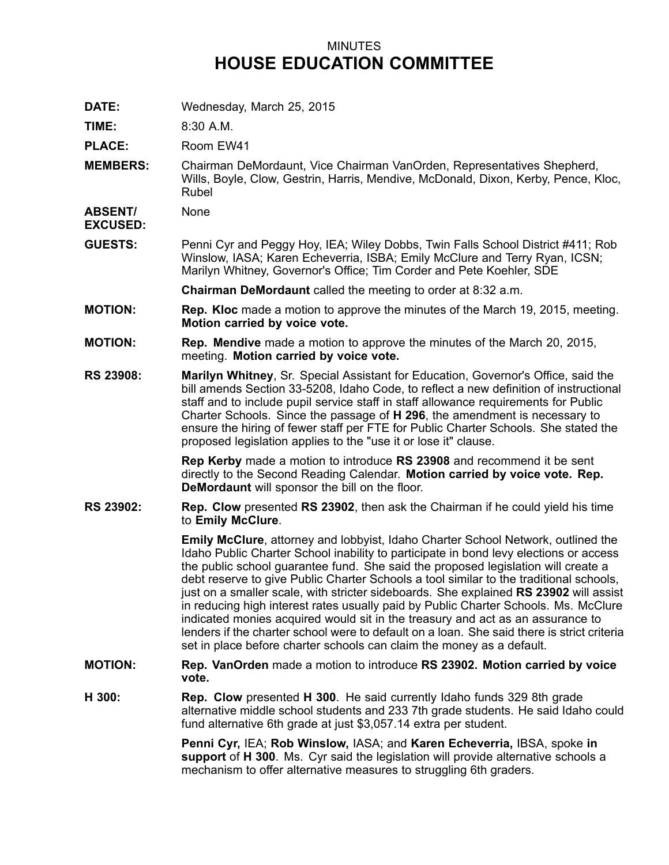## MINUTES **HOUSE EDUCATION COMMITTEE**

**DATE:** Wednesday, March 25, 2015

**TIME:** 8:30 A.M.

PLACE: Room EW41

**MEMBERS:** Chairman DeMordaunt, Vice Chairman VanOrden, Representatives Shepherd, Wills, Boyle, Clow, Gestrin, Harris, Mendive, McDonald, Dixon, Kerby, Pence, Kloc, Rubel

**ABSENT/** None

**EXCUSED:**

**GUESTS:** Penni Cyr and Peggy Hoy, IEA; Wiley Dobbs, Twin Falls School District #411; Rob Winslow, IASA; Karen Echeverria, ISBA; Emily McClure and Terry Ryan, ICSN; Marilyn Whitney, Governor's Office; Tim Corder and Pete Koehler, SDE

**Chairman DeMordaunt** called the meeting to order at 8:32 a.m.

- **MOTION: Rep. Kloc** made <sup>a</sup> motion to approve the minutes of the March 19, 2015, meeting. **Motion carried by voice vote.**
- **MOTION: Rep. Mendive** made <sup>a</sup> motion to approve the minutes of the March 20, 2015, meeting. **Motion carried by voice vote.**
- **RS 23908: Marilyn Whitney**, Sr. Special Assistant for Education, Governor's Office, said the bill amends Section 33-5208, Idaho Code, to reflect <sup>a</sup> new definition of instructional staff and to include pupil service staff in staff allowance requirements for Public Charter Schools. Since the passage of **H 296**, the amendment is necessary to ensure the hiring of fewer staff per FTE for Public Charter Schools. She stated the proposed legislation applies to the "use it or lose it" clause.

**Rep Kerby** made <sup>a</sup> motion to introduce **RS 23908** and recommend it be sent directly to the Second Reading Calendar. **Motion carried by voice vote. Rep. DeMordaunt** will sponsor the bill on the floor.

**RS 23902: Rep. Clow** presented **RS 23902**, then ask the Chairman if he could yield his time to **Emily McClure**.

> **Emily McClure**, attorney and lobbyist, Idaho Charter School Network, outlined the Idaho Public Charter School inability to participate in bond levy elections or access the public school guarantee fund. She said the proposed legislation will create <sup>a</sup> debt reserve to give Public Charter Schools <sup>a</sup> tool similar to the traditional schools, just on <sup>a</sup> smaller scale, with stricter sideboards. She explained **RS 23902** will assist in reducing high interest rates usually paid by Public Charter Schools. Ms. McClure indicated monies acquired would sit in the treasury and act as an assurance to lenders if the charter school were to default on a loan. She said there is strict criteria set in place before charter schools can claim the money as <sup>a</sup> default.

- **MOTION: Rep. VanOrden** made <sup>a</sup> motion to introduce **RS 23902. Motion carried by voice vote.**
- **H 300: Rep. Clow** presented **H 300**. He said currently Idaho funds 329 8th grade alternative middle school students and 233 7th grade students. He said Idaho could fund alternative 6th grade at just \$3,057.14 extra per student.

**Penni Cyr,** IEA; **Rob Winslow,** IASA; and **Karen Echeverria,** IBSA, spoke **in support** of **H 300**. Ms. Cyr said the legislation will provide alternative schools <sup>a</sup> mechanism to offer alternative measures to struggling 6th graders.